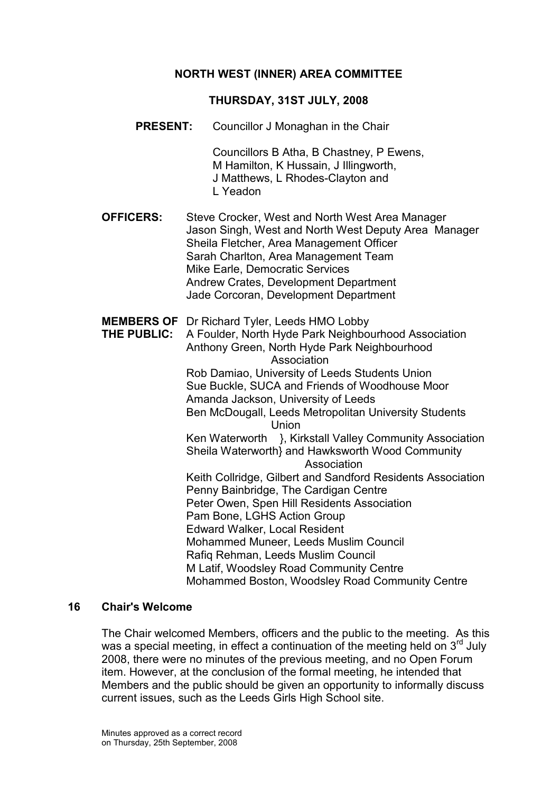### NORTH WEST (INNER) AREA COMMITTEE

### THURSDAY, 31ST JULY, 2008

PRESENT: Councillor J Monaghan in the Chair

 Councillors B Atha, B Chastney, P Ewens, M Hamilton, K Hussain, J Illingworth, J Matthews, L Rhodes-Clayton and L Yeadon

- OFFICERS: Steve Crocker, West and North West Area Manager Jason Singh, West and North West Deputy Area Manager Sheila Fletcher, Area Management Officer Sarah Charlton, Area Management Team Mike Earle, Democratic Services Andrew Crates, Development Department Jade Corcoran, Development Department
- MEMBERS OF Dr Richard Tyler, Leeds HMO Lobby
- THE PUBLIC: A Foulder, North Hyde Park Neighbourhood Association Anthony Green, North Hyde Park Neighbourhood Association Rob Damiao, University of Leeds Students Union Sue Buckle, SUCA and Friends of Woodhouse Moor Amanda Jackson, University of Leeds Ben McDougall, Leeds Metropolitan University Students Union Ken Waterworth }, Kirkstall Valley Community Association Sheila Waterworth} and Hawksworth Wood Community Association Keith Collridge, Gilbert and Sandford Residents Association Penny Bainbridge, The Cardigan Centre Peter Owen, Spen Hill Residents Association Pam Bone, LGHS Action Group Edward Walker, Local Resident Mohammed Muneer, Leeds Muslim Council Rafiq Rehman, Leeds Muslim Council M Latif, Woodsley Road Community Centre Mohammed Boston, Woodsley Road Community Centre

#### 16 Chair's Welcome

The Chair welcomed Members, officers and the public to the meeting. As this was a special meeting, in effect a continuation of the meeting held on  $3<sup>rd</sup>$  July 2008, there were no minutes of the previous meeting, and no Open Forum item. However, at the conclusion of the formal meeting, he intended that Members and the public should be given an opportunity to informally discuss current issues, such as the Leeds Girls High School site.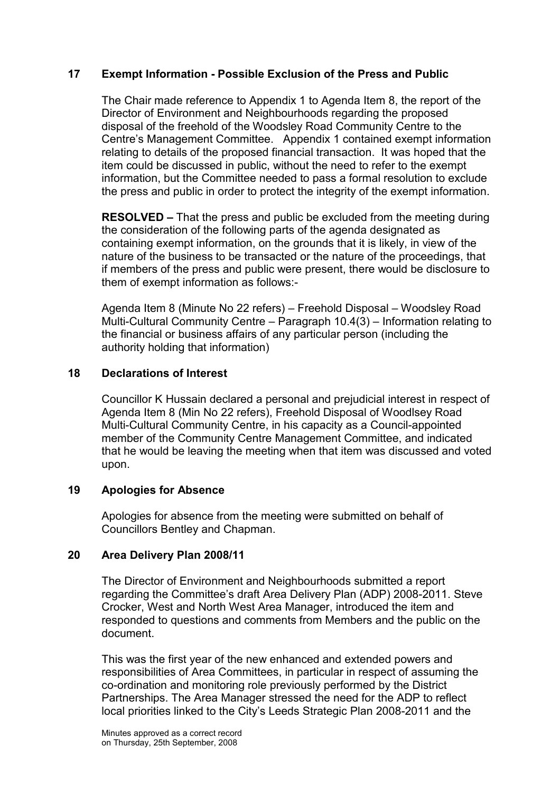## 17 Exempt Information - Possible Exclusion of the Press and Public

The Chair made reference to Appendix 1 to Agenda Item 8, the report of the Director of Environment and Neighbourhoods regarding the proposed disposal of the freehold of the Woodsley Road Community Centre to the Centre's Management Committee. Appendix 1 contained exempt information relating to details of the proposed financial transaction. It was hoped that the item could be discussed in public, without the need to refer to the exempt information, but the Committee needed to pass a formal resolution to exclude the press and public in order to protect the integrity of the exempt information.

RESOLVED – That the press and public be excluded from the meeting during the consideration of the following parts of the agenda designated as containing exempt information, on the grounds that it is likely, in view of the nature of the business to be transacted or the nature of the proceedings, that if members of the press and public were present, there would be disclosure to them of exempt information as follows:-

Agenda Item 8 (Minute No 22 refers) – Freehold Disposal – Woodsley Road Multi-Cultural Community Centre – Paragraph 10.4(3) – Information relating to the financial or business affairs of any particular person (including the authority holding that information)

### 18 Declarations of Interest

Councillor K Hussain declared a personal and prejudicial interest in respect of Agenda Item 8 (Min No 22 refers), Freehold Disposal of Woodlsey Road Multi-Cultural Community Centre, in his capacity as a Council-appointed member of the Community Centre Management Committee, and indicated that he would be leaving the meeting when that item was discussed and voted upon.

### 19 Apologies for Absence

Apologies for absence from the meeting were submitted on behalf of Councillors Bentley and Chapman.

### 20 Area Delivery Plan 2008/11

The Director of Environment and Neighbourhoods submitted a report regarding the Committee's draft Area Delivery Plan (ADP) 2008-2011. Steve Crocker, West and North West Area Manager, introduced the item and responded to questions and comments from Members and the public on the document.

This was the first year of the new enhanced and extended powers and responsibilities of Area Committees, in particular in respect of assuming the co-ordination and monitoring role previously performed by the District Partnerships. The Area Manager stressed the need for the ADP to reflect local priorities linked to the City's Leeds Strategic Plan 2008-2011 and the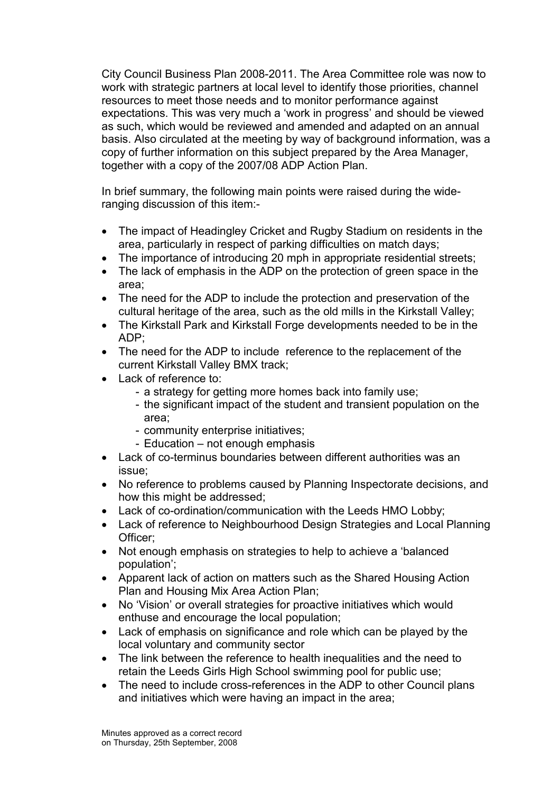City Council Business Plan 2008-2011. The Area Committee role was now to work with strategic partners at local level to identify those priorities, channel resources to meet those needs and to monitor performance against expectations. This was very much a 'work in progress' and should be viewed as such, which would be reviewed and amended and adapted on an annual basis. Also circulated at the meeting by way of background information, was a copy of further information on this subject prepared by the Area Manager, together with a copy of the 2007/08 ADP Action Plan.

In brief summary, the following main points were raised during the wideranging discussion of this item:-

- The impact of Headingley Cricket and Rugby Stadium on residents in the area, particularly in respect of parking difficulties on match days;
- The importance of introducing 20 mph in appropriate residential streets;
- The lack of emphasis in the ADP on the protection of green space in the area;
- The need for the ADP to include the protection and preservation of the cultural heritage of the area, such as the old mills in the Kirkstall Valley;
- The Kirkstall Park and Kirkstall Forge developments needed to be in the ADP;
- The need for the ADP to include reference to the replacement of the current Kirkstall Valley BMX track;
- Lack of reference to:
	- a strategy for getting more homes back into family use;
		- the significant impact of the student and transient population on the area;
		- community enterprise initiatives;
		- Education not enough emphasis
- Lack of co-terminus boundaries between different authorities was an issue;
- No reference to problems caused by Planning Inspectorate decisions, and how this might be addressed:
- Lack of co-ordination/communication with the Leeds HMO Lobby;
- Lack of reference to Neighbourhood Design Strategies and Local Planning Officer;
- Not enough emphasis on strategies to help to achieve a 'balanced population';
- Apparent lack of action on matters such as the Shared Housing Action Plan and Housing Mix Area Action Plan;
- No 'Vision' or overall strategies for proactive initiatives which would enthuse and encourage the local population;
- Lack of emphasis on significance and role which can be played by the local voluntary and community sector
- The link between the reference to health inequalities and the need to retain the Leeds Girls High School swimming pool for public use;
- The need to include cross-references in the ADP to other Council plans and initiatives which were having an impact in the area;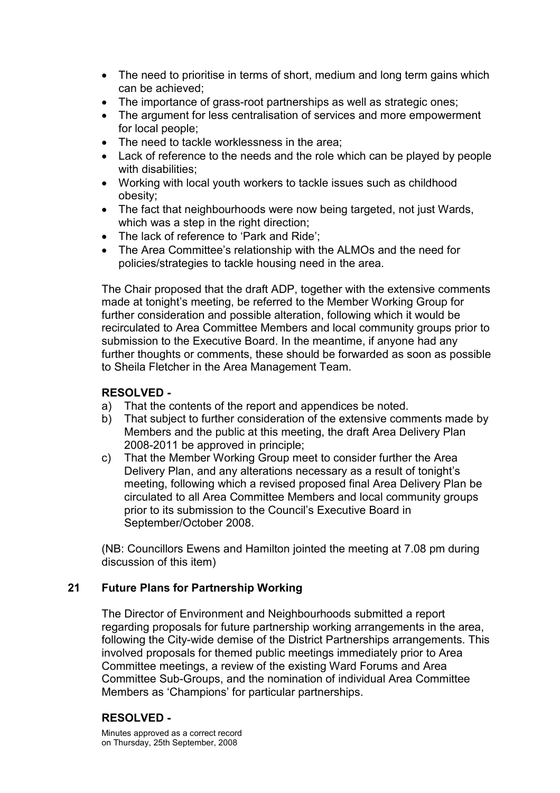- The need to prioritise in terms of short, medium and long term gains which can be achieved;
- The importance of grass-root partnerships as well as strategic ones;
- The argument for less centralisation of services and more empowerment for local people;
- The need to tackle worklessness in the area:
- Lack of reference to the needs and the role which can be played by people with disabilities:
- Working with local youth workers to tackle issues such as childhood obesity;
- The fact that neighbourhoods were now being targeted, not just Wards, which was a step in the right direction;
- The lack of reference to 'Park and Ride':
- The Area Committee's relationship with the ALMOs and the need for policies/strategies to tackle housing need in the area.

The Chair proposed that the draft ADP, together with the extensive comments made at tonight's meeting, be referred to the Member Working Group for further consideration and possible alteration, following which it would be recirculated to Area Committee Members and local community groups prior to submission to the Executive Board. In the meantime, if anyone had any further thoughts or comments, these should be forwarded as soon as possible to Sheila Fletcher in the Area Management Team.

## RESOLVED -

- a) That the contents of the report and appendices be noted.
- b) That subject to further consideration of the extensive comments made by Members and the public at this meeting, the draft Area Delivery Plan 2008-2011 be approved in principle;
- c) That the Member Working Group meet to consider further the Area Delivery Plan, and any alterations necessary as a result of tonight's meeting, following which a revised proposed final Area Delivery Plan be circulated to all Area Committee Members and local community groups prior to its submission to the Council's Executive Board in September/October 2008.

(NB: Councillors Ewens and Hamilton jointed the meeting at 7.08 pm during discussion of this item)

### 21 Future Plans for Partnership Working

The Director of Environment and Neighbourhoods submitted a report regarding proposals for future partnership working arrangements in the area, following the City-wide demise of the District Partnerships arrangements. This involved proposals for themed public meetings immediately prior to Area Committee meetings, a review of the existing Ward Forums and Area Committee Sub-Groups, and the nomination of individual Area Committee Members as 'Champions' for particular partnerships.

# RESOLVED -

Minutes approved as a correct record on Thursday, 25th September, 2008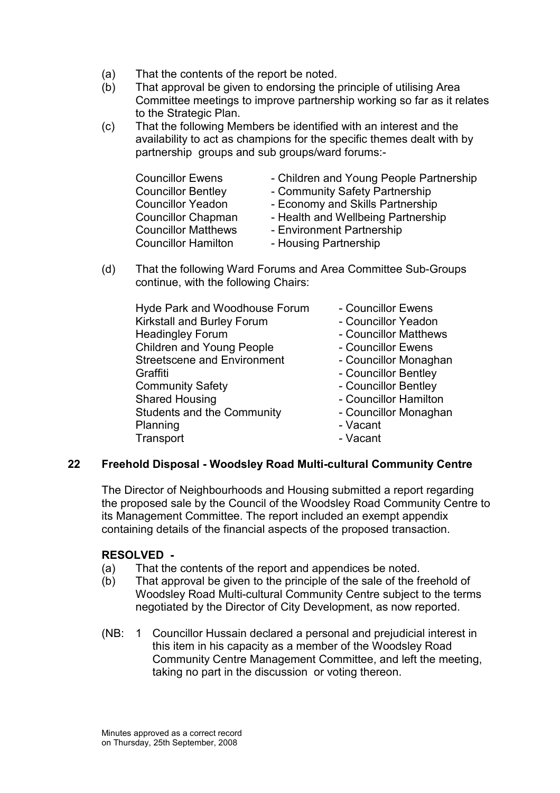- (a) That the contents of the report be noted.
- (b) That approval be given to endorsing the principle of utilising Area Committee meetings to improve partnership working so far as it relates to the Strategic Plan.
- (c) That the following Members be identified with an interest and the availability to act as champions for the specific themes dealt with by partnership groups and sub groups/ward forums:-

| <b>Councillor Ewens</b>    | - Children and Young People Partnership |
|----------------------------|-----------------------------------------|
| <b>Councillor Bentley</b>  | - Community Safety Partnership          |
| <b>Councillor Yeadon</b>   | - Economy and Skills Partnership        |
| <b>Councillor Chapman</b>  | - Health and Wellbeing Partnership      |
| <b>Councillor Matthews</b> | - Environment Partnership               |
| <b>Councillor Hamilton</b> | - Housing Partnership                   |

(d) That the following Ward Forums and Area Committee Sub-Groups continue, with the following Chairs:

| - Councillor Ewens    |
|-----------------------|
| - Councillor Yeadon   |
| - Councillor Matthews |
| - Councillor Ewens    |
| - Councillor Monaghan |
| - Councillor Bentley  |
| - Councillor Bentley  |
| - Councillor Hamilton |
| - Councillor Monaghan |
| - Vacant              |
| - Vacant              |
|                       |

### 22 Freehold Disposal - Woodsley Road Multi-cultural Community Centre

The Director of Neighbourhoods and Housing submitted a report regarding the proposed sale by the Council of the Woodsley Road Community Centre to its Management Committee. The report included an exempt appendix containing details of the financial aspects of the proposed transaction.

### RESOLVED -

- (a) That the contents of the report and appendices be noted.
- (b) That approval be given to the principle of the sale of the freehold of Woodsley Road Multi-cultural Community Centre subject to the terms negotiated by the Director of City Development, as now reported.
- (NB: 1 Councillor Hussain declared a personal and prejudicial interest in this item in his capacity as a member of the Woodsley Road Community Centre Management Committee, and left the meeting, taking no part in the discussion or voting thereon.